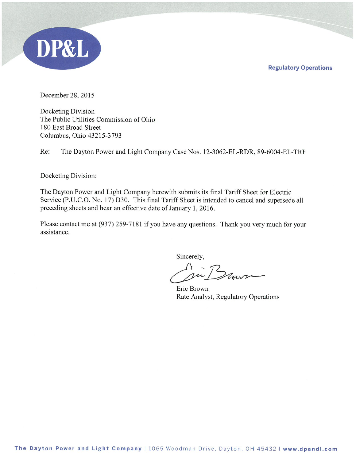**Regulatory Operations** 



December 28, 2015

Docketing Division The Public Utilities Commission of Ohio 180 East Broad Street Columbus, Ohio 43215-3793

Re: The Dayton Power and Light Company Case Nos. 12-3062-EL-RDR, 89-6004-EL-TRF

Docketing Division:

The Dayton Power and Light Company herewith submits its final Tariff Sheet for Electric Service (P.U.C.O. No. 17) D30. This final Tariff Sheet is intended to cancel and supersede all preceding sheets and bear an effective date of January 1, 2016.

Please contact me at (937) 259-7181 if you have any questions. Thank you very much for your assistance.

Sincerely,

in Brown

Eric Brown Rate Analyst, Regulatory Operations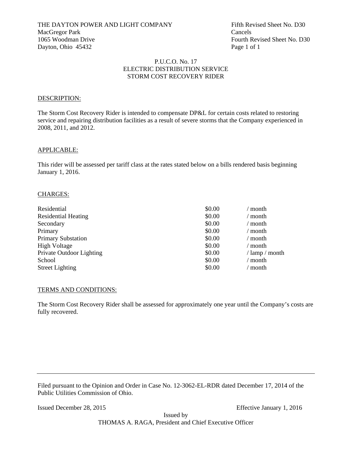## P.U.C.O. No. 17 ELECTRIC DISTRIBUTION SERVICE STORM COST RECOVERY RIDER

### DESCRIPTION:

The Storm Cost Recovery Rider is intended to compensate DP&L for certain costs related to restoring service and repairing distribution facilities as a result of severe storms that the Company experienced in 2008, 2011, and 2012.

#### APPLICABLE:

This rider will be assessed per tariff class at the rates stated below on a bills rendered basis beginning January 1, 2016.

## CHARGES:

| Residential                | \$0.00 | ' month        |
|----------------------------|--------|----------------|
| <b>Residential Heating</b> | \$0.00 | / month        |
| Secondary                  | \$0.00 | / month        |
| Primary                    | \$0.00 | / month        |
| <b>Primary Substation</b>  | \$0.00 | / month        |
| <b>High Voltage</b>        | \$0.00 | / month        |
| Private Outdoor Lighting   | \$0.00 | / lamp / month |
| School                     | \$0.00 | $\prime$ month |
| <b>Street Lighting</b>     | \$0.00 | month          |

#### TERMS AND CONDITIONS:

The Storm Cost Recovery Rider shall be assessed for approximately one year until the Company's costs are fully recovered.

Filed pursuant to the Opinion and Order in Case No. 12-3062-EL-RDR dated December 17, 2014 of the Public Utilities Commission of Ohio.

Issued December 28, 2015 Effective January 1, 2016

Issued by THOMAS A. RAGA, President and Chief Executive Officer